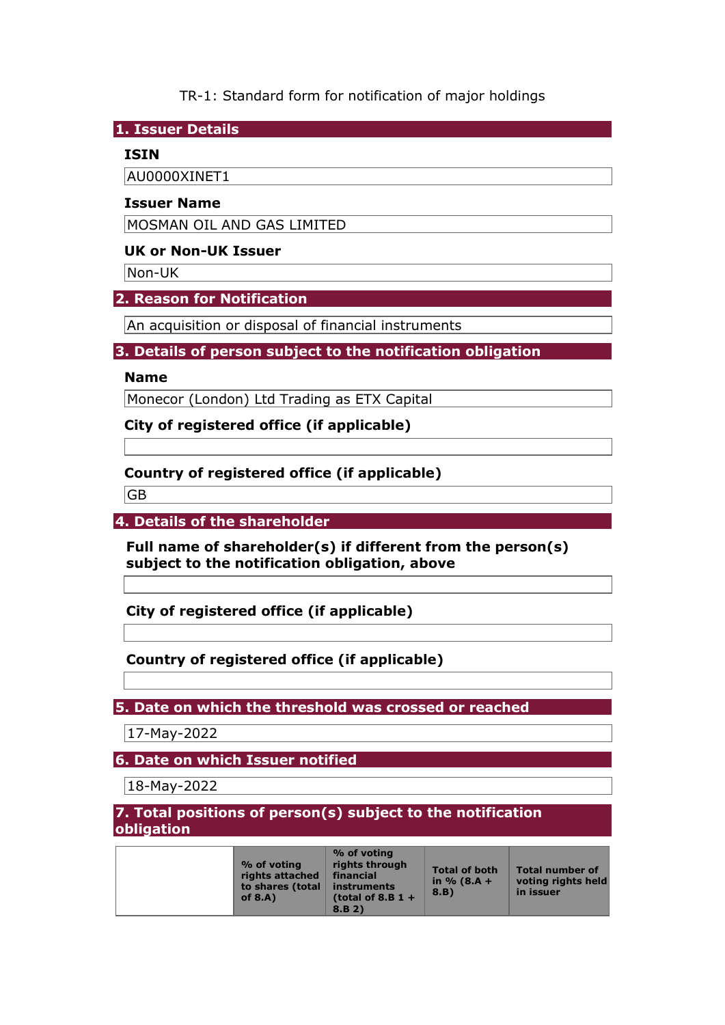TR-1: Standard form for notification of major holdings

**1. Issuer Details** 

### **ISIN**

AU0000XINET1

### **Issuer Name**

MOSMAN OIL AND GAS LIMITED

### **UK or Non-UK Issuer**

Non-UK

## **2. Reason for Notification**

An acquisition or disposal of financial instruments

## **3. Details of person subject to the notification obligation**

### **Name**

Monecor (London) Ltd Trading as ETX Capital

**City of registered office (if applicable)** 

# **Country of registered office (if applicable)**

GB

**4. Details of the shareholder** 

**Full name of shareholder(s) if different from the person(s) subject to the notification obligation, above** 

**City of registered office (if applicable)** 

## **Country of registered office (if applicable)**

**5. Date on which the threshold was crossed or reached** 

17-May-2022

**6. Date on which Issuer notified** 

18-May-2022

## **7. Total positions of person(s) subject to the notification obligation**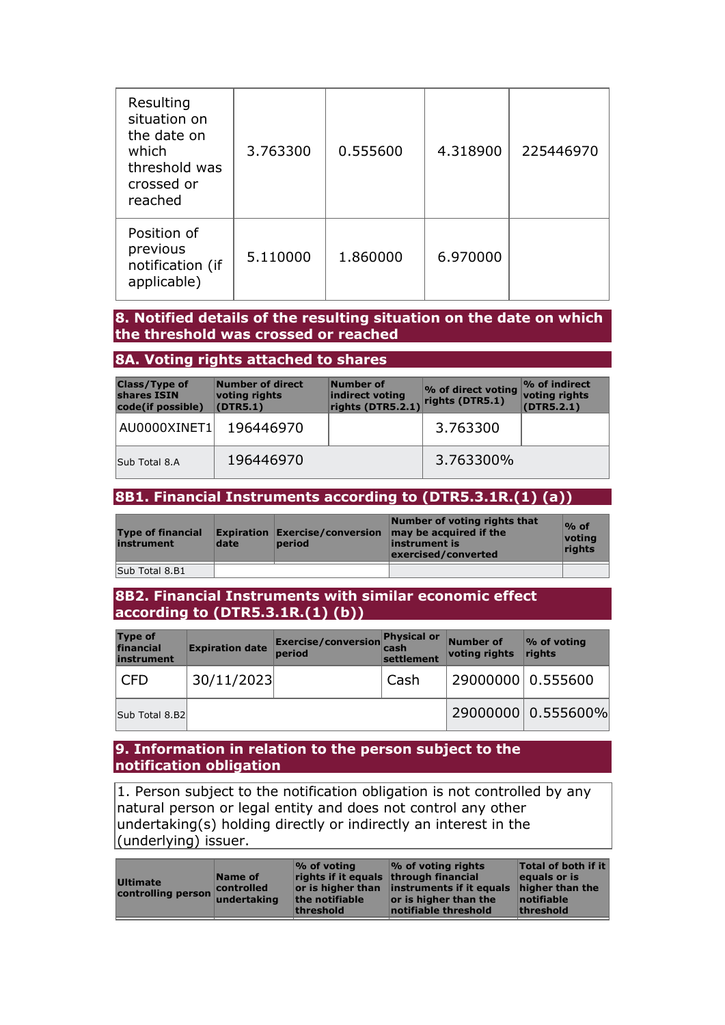| Resulting<br>situation on<br>the date on<br>which<br>threshold was<br>crossed or<br>reached | 3.763300 | 0.555600 | 4.318900 | 225446970 |
|---------------------------------------------------------------------------------------------|----------|----------|----------|-----------|
| Position of<br>previous<br>notification (if<br>applicable)                                  | 5.110000 | 1.860000 | 6.970000 |           |

### **8. Notified details of the resulting situation on the date on which the threshold was crossed or reached**

### **8A. Voting rights attached to shares**

| <b>Class/Type of</b><br>shares ISIN<br>code(if possible) | Number of direct<br>voting rights<br>(DTR5.1) | Number of<br>indirect voting<br>rights (DTR5.2.1) | % of direct voting<br>rights (DTR5.1) | $\mathcal{P}_0$ of indirect<br>voting rights<br>(DTR5.2.1) |
|----------------------------------------------------------|-----------------------------------------------|---------------------------------------------------|---------------------------------------|------------------------------------------------------------|
| AU0000XINET1                                             | 196446970                                     |                                                   | 3.763300                              |                                                            |
| Sub Total 8.A                                            | 196446970                                     |                                                   | 3.763300%                             |                                                            |

### **8B1. Financial Instruments according to (DTR5.3.1R.(1) (a))**

| <b>Type of financial</b><br>instrument | date | <b>Expiration Exercise/conversion</b><br>period | Number of voting rights that<br>may be acquired if the<br>instrument is<br>exercised/converted | $\%$ of<br>voting<br><b>rights</b> |
|----------------------------------------|------|-------------------------------------------------|------------------------------------------------------------------------------------------------|------------------------------------|
| Sub Total 8.B1                         |      |                                                 |                                                                                                |                                    |

### **8B2. Financial Instruments with similar economic effect according to (DTR5.3.1R.(1) (b))**

| <b>Type of</b><br>financial<br>instrument | <b>Expiration date</b> | <b>Exercise/conversion</b><br>period | <b>Physical or</b><br>cash<br>settlement | Number of<br>voting rights | $\%$ of voting<br>rights |
|-------------------------------------------|------------------------|--------------------------------------|------------------------------------------|----------------------------|--------------------------|
| <b>CFD</b>                                | 30/11/2023             |                                      | Cash                                     | 29000000 0.555600          |                          |
| Sub Total 8.B2                            |                        |                                      |                                          |                            | 29000000 0.555600%       |

#### **9. Information in relation to the person subject to the notification obligation**

1. Person subject to the notification obligation is not controlled by any natural person or legal entity and does not control any other undertaking(s) holding directly or indirectly an interest in the (underlying) issuer.

| <b>Ultimate</b><br>controlling person undertaking | Name of<br>controlled | $\frac{1}{2}$ of voting<br>rights if it equals through financial<br>the notifiable<br>threshold | $\%$ of voting rights<br>or is higher than linstruments if it equals<br>or is higher than the<br>notifiable threshold | <b>Total of both if it</b><br>equals or is<br>higher than the<br>$ $ notifiable<br>threshold |
|---------------------------------------------------|-----------------------|-------------------------------------------------------------------------------------------------|-----------------------------------------------------------------------------------------------------------------------|----------------------------------------------------------------------------------------------|
|---------------------------------------------------|-----------------------|-------------------------------------------------------------------------------------------------|-----------------------------------------------------------------------------------------------------------------------|----------------------------------------------------------------------------------------------|